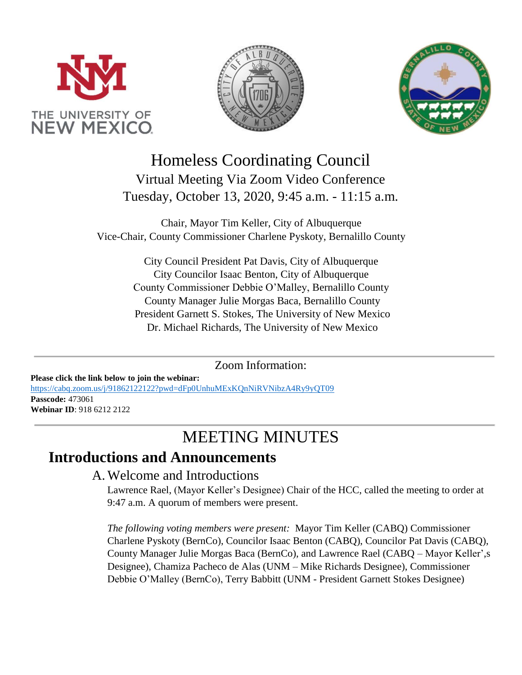





# Homeless Coordinating Council Virtual Meeting Via Zoom Video Conference Tuesday, October 13, 2020, 9:45 a.m. - 11:15 a.m.

Chair, Mayor Tim Keller, City of Albuquerque Vice-Chair, County Commissioner Charlene Pyskoty, Bernalillo County

> City Council President Pat Davis, City of Albuquerque City Councilor Isaac Benton, City of Albuquerque County Commissioner Debbie O'Malley, Bernalillo County County Manager Julie Morgas Baca, Bernalillo County President Garnett S. Stokes, The University of New Mexico Dr. Michael Richards, The University of New Mexico

#### Zoom Information:

**Please click the link below to join the webinar:** <https://cabq.zoom.us/j/91862122122?pwd=dFp0UnhuMExKQnNiRVNibzA4Ry9yQT09> **Passcode:** 473061 **Webinar ID**: 918 6212 2122

# MEETING MINUTES

### **Introductions and Announcements**

#### A.Welcome and Introductions

Lawrence Rael, (Mayor Keller's Designee) Chair of the HCC, called the meeting to order at 9:47 a.m. A quorum of members were present.

*The following voting members were present:* Mayor Tim Keller (CABQ) Commissioner Charlene Pyskoty (BernCo), Councilor Isaac Benton (CABQ), Councilor Pat Davis (CABQ), County Manager Julie Morgas Baca (BernCo), and Lawrence Rael (CABQ – Mayor Keller',s Designee), Chamiza Pacheco de Alas (UNM – Mike Richards Designee), Commissioner Debbie O'Malley (BernCo), Terry Babbitt (UNM - President Garnett Stokes Designee)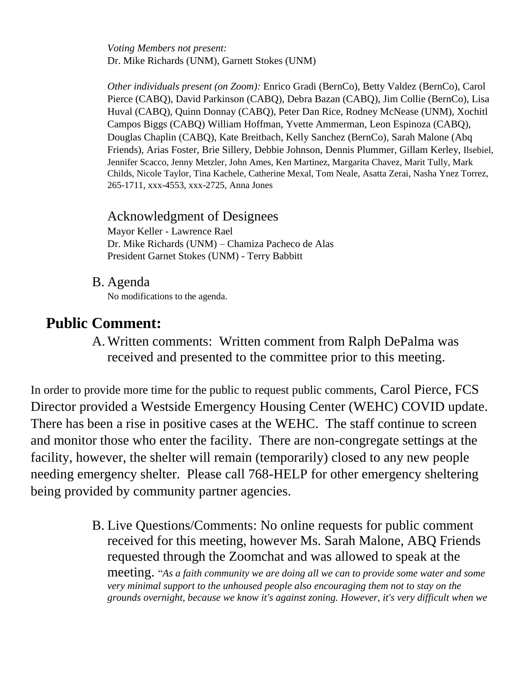*Voting Members not present:* Dr. Mike Richards (UNM), Garnett Stokes (UNM)

*Other individuals present (on Zoom):* Enrico Gradi (BernCo), Betty Valdez (BernCo), Carol Pierce (CABQ), David Parkinson (CABQ), Debra Bazan (CABQ), Jim Collie (BernCo), Lisa Huval (CABQ), Quinn Donnay (CABQ), Peter Dan Rice, Rodney McNease (UNM), Xochitl Campos Biggs (CABQ) William Hoffman, Yvette Ammerman, Leon Espinoza (CABQ), Douglas Chaplin (CABQ), Kate Breitbach, Kelly Sanchez (BernCo), Sarah Malone (Abq Friends), Arias Foster, Brie Sillery, Debbie Johnson, Dennis Plummer, Gillam Kerley, Ilsebiel, Jennifer Scacco, Jenny Metzler, John Ames, Ken Martinez, Margarita Chavez, Marit Tully, Mark Childs, Nicole Taylor, Tina Kachele, Catherine Mexal, Tom Neale, Asatta Zerai, Nasha Ynez Torrez, 265-1711, xxx-4553, xxx-2725, Anna Jones

#### Acknowledgment of Designees

Mayor Keller - Lawrence Rael Dr. Mike Richards (UNM) – Chamiza Pacheco de Alas President Garnet Stokes (UNM) - Terry Babbitt

B. Agenda

No modifications to the agenda.

## **Public Comment:**

A.Written comments: Written comment from Ralph DePalma was received and presented to the committee prior to this meeting.

In order to provide more time for the public to request public comments, Carol Pierce, FCS Director provided a Westside Emergency Housing Center (WEHC) COVID update. There has been a rise in positive cases at the WEHC. The staff continue to screen and monitor those who enter the facility. There are non-congregate settings at the facility, however, the shelter will remain (temporarily) closed to any new people needing emergency shelter. Please call 768-HELP for other emergency sheltering being provided by community partner agencies.

> B. Live Questions/Comments: No online requests for public comment received for this meeting, however Ms. Sarah Malone, ABQ Friends requested through the Zoomchat and was allowed to speak at the meeting. "*As a faith community we are doing all we can to provide some water and some very minimal support to the unhoused people also encouraging them not to stay on the grounds overnight, because we know it's against zoning. However, it's very difficult when we*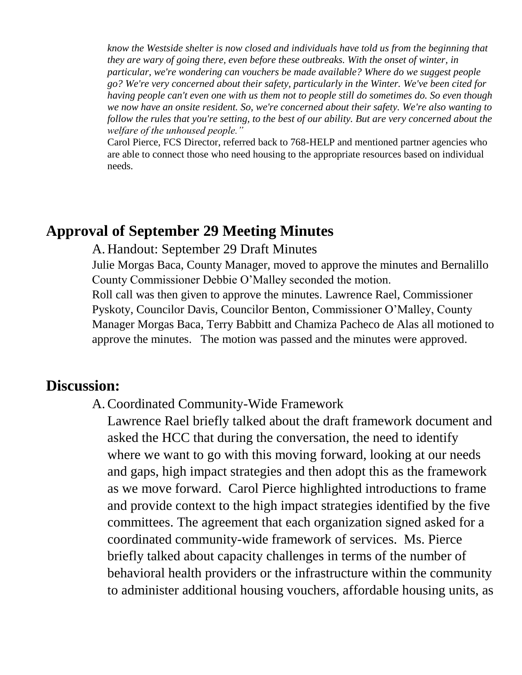*know the Westside shelter is now closed and individuals have told us from the beginning that they are wary of going there, even before these outbreaks. With the onset of winter, in particular, we're wondering can vouchers be made available? Where do we suggest people go? We're very concerned about their safety, particularly in the Winter. We've been cited for having people can't even one with us them not to people still do sometimes do. So even though we now have an onsite resident. So, we're concerned about their safety. We're also wanting to follow the rules that you're setting, to the best of our ability. But are very concerned about the welfare of the unhoused people."*

Carol Pierce, FCS Director, referred back to 768-HELP and mentioned partner agencies who are able to connect those who need housing to the appropriate resources based on individual needs.

### **Approval of September 29 Meeting Minutes**

#### A. Handout: September 29 Draft Minutes

Julie Morgas Baca, County Manager, moved to approve the minutes and Bernalillo County Commissioner Debbie O'Malley seconded the motion. Roll call was then given to approve the minutes. Lawrence Rael, Commissioner Pyskoty, Councilor Davis, Councilor Benton, Commissioner O'Malley, County Manager Morgas Baca, Terry Babbitt and Chamiza Pacheco de Alas all motioned to approve the minutes. The motion was passed and the minutes were approved.

### **Discussion:**

#### A.Coordinated Community-Wide Framework

Lawrence Rael briefly talked about the draft framework document and asked the HCC that during the conversation, the need to identify where we want to go with this moving forward, looking at our needs and gaps, high impact strategies and then adopt this as the framework as we move forward. Carol Pierce highlighted introductions to frame and provide context to the high impact strategies identified by the five committees. The agreement that each organization signed asked for a coordinated community-wide framework of services. Ms. Pierce briefly talked about capacity challenges in terms of the number of behavioral health providers or the infrastructure within the community to administer additional housing vouchers, affordable housing units, as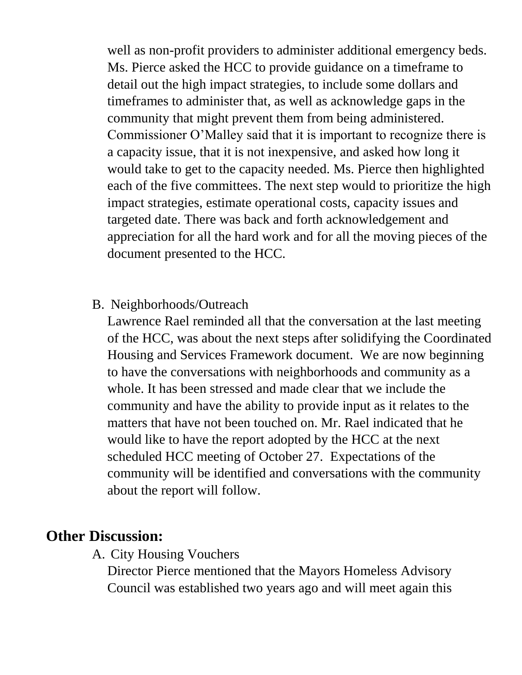well as non-profit providers to administer additional emergency beds. Ms. Pierce asked the HCC to provide guidance on a timeframe to detail out the high impact strategies, to include some dollars and timeframes to administer that, as well as acknowledge gaps in the community that might prevent them from being administered. Commissioner O'Malley said that it is important to recognize there is a capacity issue, that it is not inexpensive, and asked how long it would take to get to the capacity needed. Ms. Pierce then highlighted each of the five committees. The next step would to prioritize the high impact strategies, estimate operational costs, capacity issues and targeted date. There was back and forth acknowledgement and appreciation for all the hard work and for all the moving pieces of the document presented to the HCC.

### B. Neighborhoods/Outreach

Lawrence Rael reminded all that the conversation at the last meeting of the HCC, was about the next steps after solidifying the Coordinated Housing and Services Framework document. We are now beginning to have the conversations with neighborhoods and community as a whole. It has been stressed and made clear that we include the community and have the ability to provide input as it relates to the matters that have not been touched on. Mr. Rael indicated that he would like to have the report adopted by the HCC at the next scheduled HCC meeting of October 27. Expectations of the community will be identified and conversations with the community about the report will follow.

### **Other Discussion:**

A. City Housing Vouchers

Director Pierce mentioned that the Mayors Homeless Advisory Council was established two years ago and will meet again this